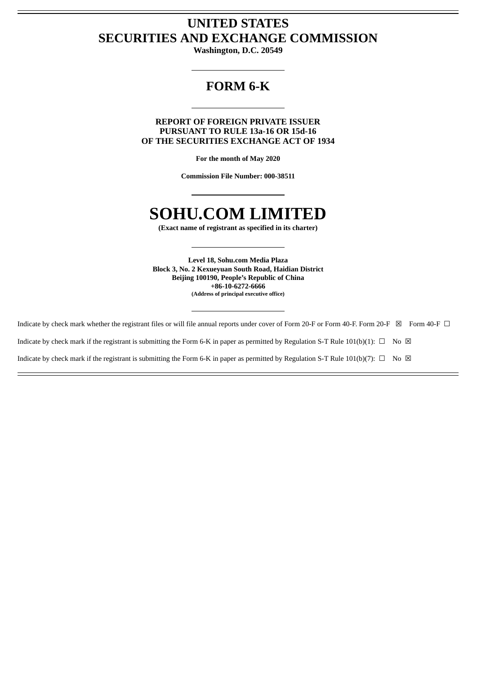# **UNITED STATES SECURITIES AND EXCHANGE COMMISSION**

**Washington, D.C. 20549**

# **FORM 6-K**

**REPORT OF FOREIGN PRIVATE ISSUER PURSUANT TO RULE 13a-16 OR 15d-16 OF THE SECURITIES EXCHANGE ACT OF 1934**

**For the month of May 2020**

**Commission File Number: 000-38511**

# **SOHU.COM LIMITED**

**(Exact name of registrant as specified in its charter)**

**Level 18, Sohu.com Media Plaza Block 3, No. 2 Kexueyuan South Road, Haidian District Beijing 100190, People's Republic of China +86-10-6272-6666 (Address of principal executive office)**

Indicate by check mark whether the registrant files or will file annual reports under cover of Form 20-F or Form 40-F. Form 20-F  $\boxtimes$  Form 40-F  $\Box$ 

Indicate by check mark if the registrant is submitting the Form 6-K in paper as permitted by Regulation S-T Rule 101(b)(1):  $\Box$  No  $\boxtimes$ 

Indicate by check mark if the registrant is submitting the Form 6-K in paper as permitted by Regulation S-T Rule 101(b)(7):  $\Box$  No  $\boxtimes$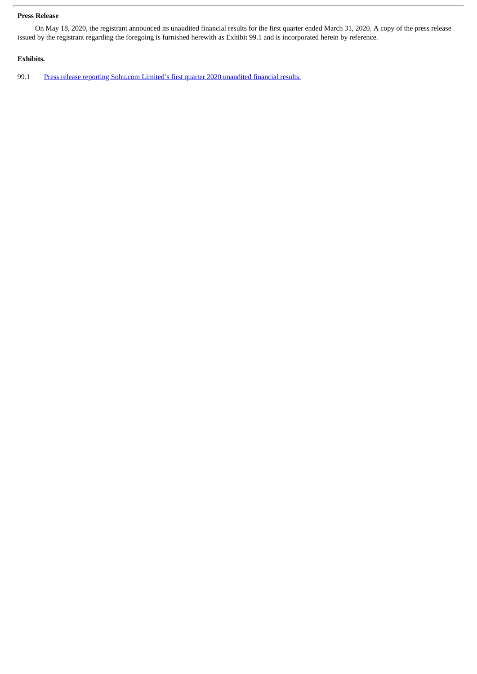#### **Press Release**

On May 18, 2020, the registrant announced its unaudited financial results for the first quarter ended March 31, 2020. A copy of the press release issued by the registrant regarding the foregoing is furnished herewith as Exhibit 99.1 and is incorporated herein by reference.

# **Exhibits.**

99.1 Press release reporting [Sohu.com](#page-3-0) Limited's first quarter 2020 unaudited financial results.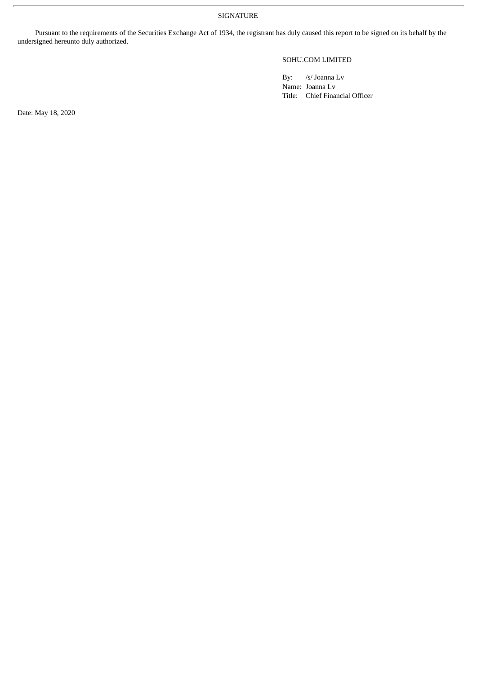SIGNATURE

Pursuant to the requirements of the Securities Exchange Act of 1934, the registrant has duly caused this report to be signed on its behalf by the undersigned hereunto duly authorized.

# SOHU.COM LIMITED

By: /s/ Joanna Lv

Name: Joanna Lv Title: Chief Financial Officer

Date: May 18, 2020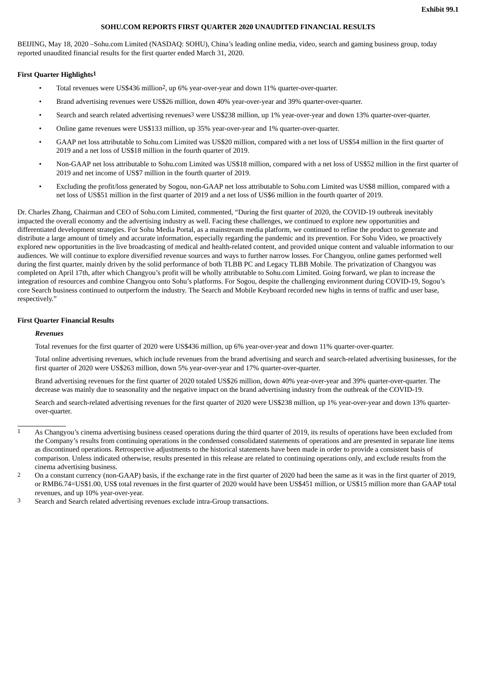#### **SOHU.COM REPORTS FIRST QUARTER 2020 UNAUDITED FINANCIAL RESULTS**

<span id="page-3-0"></span>BEIJING, May 18, 2020 –Sohu.com Limited (NASDAQ: SOHU), China's leading online media, video, search and gaming business group, today reported unaudited financial results for the first quarter ended March 31, 2020.

#### **First Quarter Highlights1**

- Total revenues were US\$436 million2, up 6% year-over-year and down 11% quarter-over-quarter.
- Brand advertising revenues were US\$26 million, down 40% year-over-year and 39% quarter-over-quarter.
- Search and search related advertising revenues3 were US\$238 million, up 1% year-over-year and down 13% quarter-over-quarter.
- Online game revenues were US\$133 million, up 35% year-over-year and 1% quarter-over-quarter.
- GAAP net loss attributable to Sohu.com Limited was US\$20 million, compared with a net loss of US\$54 million in the first quarter of 2019 and a net loss of US\$18 million in the fourth quarter of 2019.
- Non-GAAP net loss attributable to Sohu.com Limited was US\$18 million, compared with a net loss of US\$52 million in the first quarter of 2019 and net income of US\$7 million in the fourth quarter of 2019.
- Excluding the profit/loss generated by Sogou, non-GAAP net loss attributable to Sohu.com Limited was US\$8 million, compared with a net loss of US\$51 million in the first quarter of 2019 and a net loss of US\$6 million in the fourth quarter of 2019.

Dr. Charles Zhang, Chairman and CEO of Sohu.com Limited, commented, "During the first quarter of 2020, the COVID-19 outbreak inevitably impacted the overall economy and the advertising industry as well. Facing these challenges, we continued to explore new opportunities and differentiated development strategies. For Sohu Media Portal, as a mainstream media platform, we continued to refine the product to generate and distribute a large amount of timely and accurate information, especially regarding the pandemic and its prevention. For Sohu Video, we proactively explored new opportunities in the live broadcasting of medical and health-related content, and provided unique content and valuable information to our audiences. We will continue to explore diversified revenue sources and ways to further narrow losses. For Changyou, online games performed well during the first quarter, mainly driven by the solid performance of both TLBB PC and Legacy TLBB Mobile. The privatization of Changyou was completed on April 17th, after which Changyou's profit will be wholly attributable to Sohu.com Limited. Going forward, we plan to increase the integration of resources and combine Changyou onto Sohu's platforms. For Sogou, despite the challenging environment during COVID-19, Sogou's core Search business continued to outperform the industry. The Search and Mobile Keyboard recorded new highs in terms of traffic and user base, respectively."

#### **First Quarter Financial Results**

#### *Revenues*

Total revenues for the first quarter of 2020 were US\$436 million, up 6% year-over-year and down 11% quarter-over-quarter.

Total online advertising revenues, which include revenues from the brand advertising and search and search-related advertising businesses, for the first quarter of 2020 were US\$263 million, down 5% year-over-year and 17% quarter-over-quarter.

Brand advertising revenues for the first quarter of 2020 totaled US\$26 million, down 40% year-over-year and 39% quarter-over-quarter. The decrease was mainly due to seasonality and the negative impact on the brand advertising industry from the outbreak of the COVID-19.

Search and search-related advertising revenues for the first quarter of 2020 were US\$238 million, up 1% year-over-year and down 13% quarterover-quarter.

<sup>1</sup> As Changyou's cinema advertising business ceased operations during the third quarter of 2019, its results of operations have been excluded from the Company's results from continuing operations in the condensed consolidated statements of operations and are presented in separate line items as discontinued operations. Retrospective adjustments to the historical statements have been made in order to provide a consistent basis of comparison. Unless indicated otherwise, results presented in this release are related to continuing operations only, and exclude results from the cinema advertising business.

<sup>2</sup> On a constant currency (non-GAAP) basis, if the exchange rate in the first quarter of 2020 had been the same as it was in the first quarter of 2019, or RMB6.74=US\$1.00, US\$ total revenues in the first quarter of 2020 would have been US\$451 million, or US\$15 million more than GAAP total revenues, and up 10% year-over-year.

<sup>3</sup> Search and Search related advertising revenues exclude intra-Group transactions.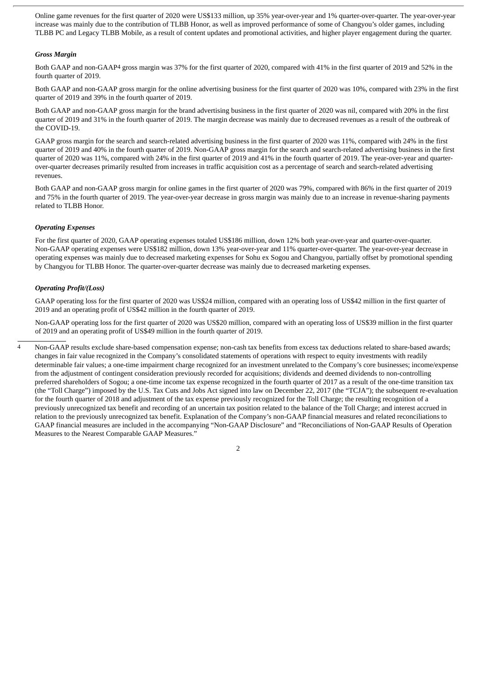Online game revenues for the first quarter of 2020 were US\$133 million, up 35% year-over-year and 1% quarter-over-quarter. The year-over-year increase was mainly due to the contribution of TLBB Honor, as well as improved performance of some of Changyou's older games, including TLBB PC and Legacy TLBB Mobile, as a result of content updates and promotional activities, and higher player engagement during the quarter.

### *Gross Margin*

Both GAAP and non-GAAP4 gross margin was 37% for the first quarter of 2020, compared with 41% in the first quarter of 2019 and 52% in the fourth quarter of 2019.

Both GAAP and non-GAAP gross margin for the online advertising business for the first quarter of 2020 was 10%, compared with 23% in the first quarter of 2019 and 39% in the fourth quarter of 2019.

Both GAAP and non-GAAP gross margin for the brand advertising business in the first quarter of 2020 was nil, compared with 20% in the first quarter of 2019 and 31% in the fourth quarter of 2019. The margin decrease was mainly due to decreased revenues as a result of the outbreak of the COVID-19.

GAAP gross margin for the search and search-related advertising business in the first quarter of 2020 was 11%, compared with 24% in the first quarter of 2019 and 40% in the fourth quarter of 2019. Non-GAAP gross margin for the search and search-related advertising business in the first quarter of 2020 was 11%, compared with 24% in the first quarter of 2019 and 41% in the fourth quarter of 2019. The year-over-year and quarterover-quarter decreases primarily resulted from increases in traffic acquisition cost as a percentage of search and search-related advertising revenues.

Both GAAP and non-GAAP gross margin for online games in the first quarter of 2020 was 79%, compared with 86% in the first quarter of 2019 and 75% in the fourth quarter of 2019. The year-over-year decrease in gross margin was mainly due to an increase in revenue-sharing payments related to TLBB Honor.

#### *Operating Expenses*

For the first quarter of 2020, GAAP operating expenses totaled US\$186 million, down 12% both year-over-year and quarter-over-quarter. Non-GAAP operating expenses were US\$182 million, down 13% year-over-year and 11% quarter-over-quarter. The year-over-year decrease in operating expenses was mainly due to decreased marketing expenses for Sohu ex Sogou and Changyou, partially offset by promotional spending by Changyou for TLBB Honor. The quarter-over-quarter decrease was mainly due to decreased marketing expenses.

#### *Operating Profit/(Loss)*

GAAP operating loss for the first quarter of 2020 was US\$24 million, compared with an operating loss of US\$42 million in the first quarter of 2019 and an operating profit of US\$42 million in the fourth quarter of 2019.

Non-GAAP operating loss for the first quarter of 2020 was US\$20 million, compared with an operating loss of US\$39 million in the first quarter of 2019 and an operating profit of US\$49 million in the fourth quarter of 2019.

<sup>4</sup> Non-GAAP results exclude share-based compensation expense; non-cash tax benefits from excess tax deductions related to share-based awards; changes in fair value recognized in the Company's consolidated statements of operations with respect to equity investments with readily determinable fair values; a one-time impairment charge recognized for an investment unrelated to the Company's core businesses; income/expense from the adjustment of contingent consideration previously recorded for acquisitions; dividends and deemed dividends to non-controlling preferred shareholders of Sogou; a one-time income tax expense recognized in the fourth quarter of 2017 as a result of the one-time transition tax (the "Toll Charge") imposed by the U.S. Tax Cuts and Jobs Act signed into law on December 22, 2017 (the "TCJA"); the subsequent re-evaluation for the fourth quarter of 2018 and adjustment of the tax expense previously recognized for the Toll Charge; the resulting recognition of a previously unrecognized tax benefit and recording of an uncertain tax position related to the balance of the Toll Charge; and interest accrued in relation to the previously unrecognized tax benefit. Explanation of the Company's non-GAAP financial measures and related reconciliations to GAAP financial measures are included in the accompanying "Non-GAAP Disclosure" and "Reconciliations of Non-GAAP Results of Operation Measures to the Nearest Comparable GAAP Measures."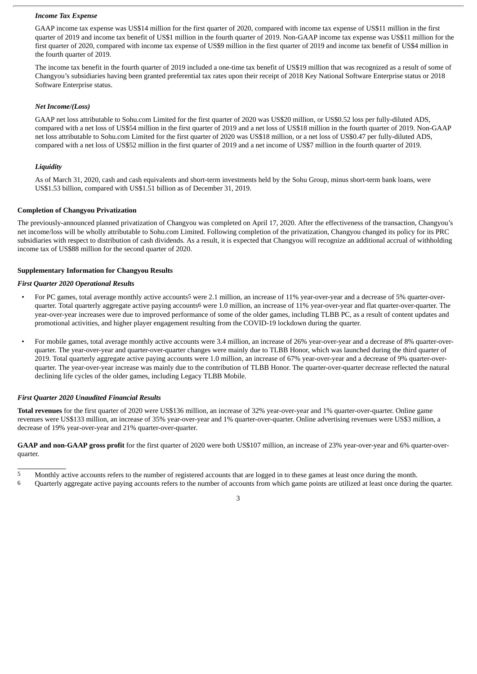#### *Income Tax Expense*

GAAP income tax expense was US\$14 million for the first quarter of 2020, compared with income tax expense of US\$11 million in the first quarter of 2019 and income tax benefit of US\$1 million in the fourth quarter of 2019. Non-GAAP income tax expense was US\$11 million for the first quarter of 2020, compared with income tax expense of US\$9 million in the first quarter of 2019 and income tax benefit of US\$4 million in the fourth quarter of 2019.

The income tax benefit in the fourth quarter of 2019 included a one-time tax benefit of US\$19 million that was recognized as a result of some of Changyou's subsidiaries having been granted preferential tax rates upon their receipt of 2018 Key National Software Enterprise status or 2018 Software Enterprise status.

#### *Net Income/(Loss)*

GAAP net loss attributable to Sohu.com Limited for the first quarter of 2020 was US\$20 million, or US\$0.52 loss per fully-diluted ADS, compared with a net loss of US\$54 million in the first quarter of 2019 and a net loss of US\$18 million in the fourth quarter of 2019. Non-GAAP net loss attributable to Sohu.com Limited for the first quarter of 2020 was US\$18 million, or a net loss of US\$0.47 per fully-diluted ADS, compared with a net loss of US\$52 million in the first quarter of 2019 and a net income of US\$7 million in the fourth quarter of 2019.

#### *Liquidity*

As of March 31, 2020, cash and cash equivalents and short-term investments held by the Sohu Group, minus short-term bank loans, were US\$1.53 billion, compared with US\$1.51 billion as of December 31, 2019.

#### **Completion of Changyou Privatization**

The previously-announced planned privatization of Changyou was completed on April 17, 2020. After the effectiveness of the transaction, Changyou's net income/loss will be wholly attributable to Sohu.com Limited. Following completion of the privatization, Changyou changed its policy for its PRC subsidiaries with respect to distribution of cash dividends. As a result, it is expected that Changyou will recognize an additional accrual of withholding income tax of US\$88 million for the second quarter of 2020.

#### **Supplementary Information for Changyou Results**

#### *First Quarter 2020 Operational Results*

- For PC games, total average monthly active accounts5 were 2.1 million, an increase of 11% year-over-year and a decrease of 5% quarter-overquarter. Total quarterly aggregate active paying accounts6 were 1.0 million, an increase of 11% year-over-year and flat quarter-over-quarter. The year-over-year increases were due to improved performance of some of the older games, including TLBB PC, as a result of content updates and promotional activities, and higher player engagement resulting from the COVID-19 lockdown during the quarter.
- For mobile games, total average monthly active accounts were 3.4 million, an increase of 26% year-over-year and a decrease of 8% quarter-overquarter. The year-over-year and quarter-over-quarter changes were mainly due to TLBB Honor, which was launched during the third quarter of 2019. Total quarterly aggregate active paying accounts were 1.0 million, an increase of 67% year-over-year and a decrease of 9% quarter-overquarter. The year-over-year increase was mainly due to the contribution of TLBB Honor. The quarter-over-quarter decrease reflected the natural declining life cycles of the older games, including Legacy TLBB Mobile.

#### *First Quarter 2020 Unaudited Financial Results*

**Total revenues** for the first quarter of 2020 were US\$136 million, an increase of 32% year-over-year and 1% quarter-over-quarter. Online game revenues were US\$133 million, an increase of 35% year-over-year and 1% quarter-over-quarter. Online advertising revenues were US\$3 million, a decrease of 19% year-over-year and 21% quarter-over-quarter.

**GAAP and non-GAAP gross profit** for the first quarter of 2020 were both US\$107 million, an increase of 23% year-over-year and 6% quarter-overquarter.

<sup>6</sup> Quarterly aggregate active paying accounts refers to the number of accounts from which game points are utilized at least once during the quarter.



<sup>5</sup> Monthly active accounts refers to the number of registered accounts that are logged in to these games at least once during the month.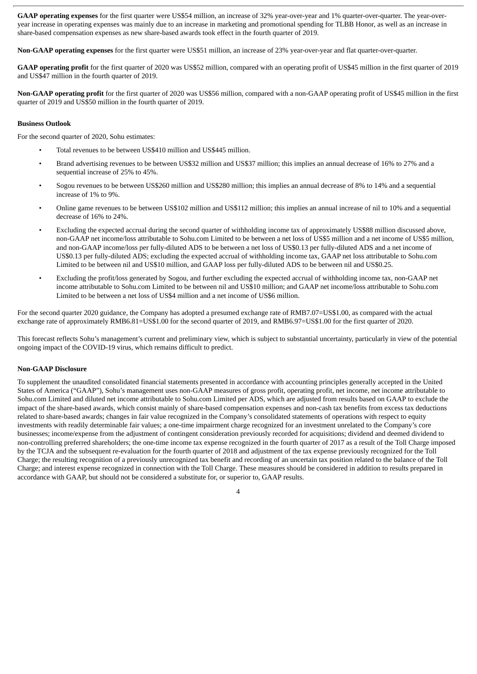**GAAP operating expenses** for the first quarter were US\$54 million, an increase of 32% year-over-year and 1% quarter-over-quarter. The year-overyear increase in operating expenses was mainly due to an increase in marketing and promotional spending for TLBB Honor, as well as an increase in share-based compensation expenses as new share-based awards took effect in the fourth quarter of 2019.

**Non-GAAP operating expenses** for the first quarter were US\$51 million, an increase of 23% year-over-year and flat quarter-over-quarter.

**GAAP operating profit** for the first quarter of 2020 was US\$52 million, compared with an operating profit of US\$45 million in the first quarter of 2019 and US\$47 million in the fourth quarter of 2019.

**Non-GAAP operating profit** for the first quarter of 2020 was US\$56 million, compared with a non-GAAP operating profit of US\$45 million in the first quarter of 2019 and US\$50 million in the fourth quarter of 2019.

#### **Business Outlook**

For the second quarter of 2020, Sohu estimates:

- Total revenues to be between US\$410 million and US\$445 million.
- Brand advertising revenues to be between US\$32 million and US\$37 million; this implies an annual decrease of 16% to 27% and a sequential increase of 25% to 45%.
- Sogou revenues to be between US\$260 million and US\$280 million; this implies an annual decrease of 8% to 14% and a sequential increase of 1% to 9%.
- Online game revenues to be between US\$102 million and US\$112 million; this implies an annual increase of nil to 10% and a sequential decrease of 16% to 24%.
- Excluding the expected accrual during the second quarter of withholding income tax of approximately US\$88 million discussed above, non-GAAP net income/loss attributable to Sohu.com Limited to be between a net loss of US\$5 million and a net income of US\$5 million, and non-GAAP income/loss per fully-diluted ADS to be between a net loss of US\$0.13 per fully-diluted ADS and a net income of US\$0.13 per fully-diluted ADS; excluding the expected accrual of withholding income tax, GAAP net loss attributable to Sohu.com Limited to be between nil and US\$10 million, and GAAP loss per fully-diluted ADS to be between nil and US\$0.25.
- Excluding the profit/loss generated by Sogou, and further excluding the expected accrual of withholding income tax, non-GAAP net income attributable to Sohu.com Limited to be between nil and US\$10 million; and GAAP net income/loss attributable to Sohu.com Limited to be between a net loss of US\$4 million and a net income of US\$6 million.

For the second quarter 2020 guidance, the Company has adopted a presumed exchange rate of RMB7.07=US\$1.00, as compared with the actual exchange rate of approximately RMB6.81=US\$1.00 for the second quarter of 2019, and RMB6.97=US\$1.00 for the first quarter of 2020.

This forecast reflects Sohu's management's current and preliminary view, which is subject to substantial uncertainty, particularly in view of the potential ongoing impact of the COVID-19 virus, which remains difficult to predict.

#### **Non-GAAP Disclosure**

To supplement the unaudited consolidated financial statements presented in accordance with accounting principles generally accepted in the United States of America ("GAAP"), Sohu's management uses non-GAAP measures of gross profit, operating profit, net income, net income attributable to Sohu.com Limited and diluted net income attributable to Sohu.com Limited per ADS, which are adjusted from results based on GAAP to exclude the impact of the share-based awards, which consist mainly of share-based compensation expenses and non-cash tax benefits from excess tax deductions related to share-based awards; changes in fair value recognized in the Company's consolidated statements of operations with respect to equity investments with readily determinable fair values; a one-time impairment charge recognized for an investment unrelated to the Company's core businesses; income/expense from the adjustment of contingent consideration previously recorded for acquisitions; dividend and deemed dividend to non-controlling preferred shareholders; the one-time income tax expense recognized in the fourth quarter of 2017 as a result of the Toll Charge imposed by the TCJA and the subsequent re-evaluation for the fourth quarter of 2018 and adjustment of the tax expense previously recognized for the Toll Charge; the resulting recognition of a previously unrecognized tax benefit and recording of an uncertain tax position related to the balance of the Toll Charge; and interest expense recognized in connection with the Toll Charge. These measures should be considered in addition to results prepared in accordance with GAAP, but should not be considered a substitute for, or superior to, GAAP results.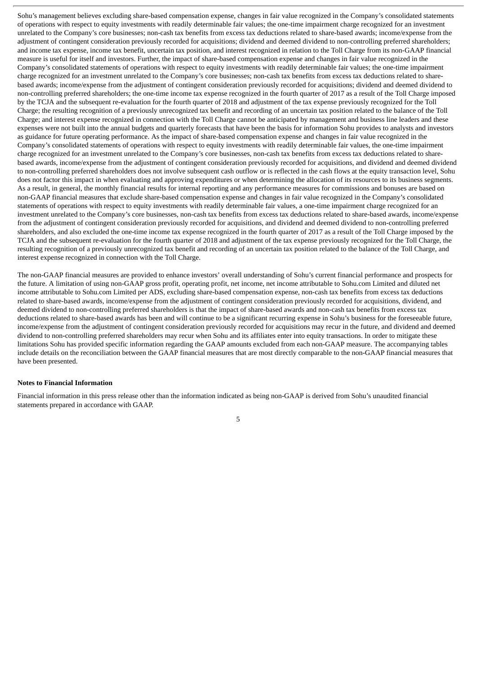Sohu's management believes excluding share-based compensation expense, changes in fair value recognized in the Company's consolidated statements of operations with respect to equity investments with readily determinable fair values; the one-time impairment charge recognized for an investment unrelated to the Company's core businesses; non-cash tax benefits from excess tax deductions related to share-based awards; income/expense from the adjustment of contingent consideration previously recorded for acquisitions; dividend and deemed dividend to non-controlling preferred shareholders; and income tax expense, income tax benefit, uncertain tax position, and interest recognized in relation to the Toll Charge from its non-GAAP financial measure is useful for itself and investors. Further, the impact of share-based compensation expense and changes in fair value recognized in the Company's consolidated statements of operations with respect to equity investments with readily determinable fair values; the one-time impairment charge recognized for an investment unrelated to the Company's core businesses; non-cash tax benefits from excess tax deductions related to sharebased awards; income/expense from the adjustment of contingent consideration previously recorded for acquisitions; dividend and deemed dividend to non-controlling preferred shareholders; the one-time income tax expense recognized in the fourth quarter of 2017 as a result of the Toll Charge imposed by the TCJA and the subsequent re-evaluation for the fourth quarter of 2018 and adjustment of the tax expense previously recognized for the Toll Charge; the resulting recognition of a previously unrecognized tax benefit and recording of an uncertain tax position related to the balance of the Toll Charge; and interest expense recognized in connection with the Toll Charge cannot be anticipated by management and business line leaders and these expenses were not built into the annual budgets and quarterly forecasts that have been the basis for information Sohu provides to analysts and investors as guidance for future operating performance. As the impact of share-based compensation expense and changes in fair value recognized in the Company's consolidated statements of operations with respect to equity investments with readily determinable fair values, the one-time impairment charge recognized for an investment unrelated to the Company's core businesses, non-cash tax benefits from excess tax deductions related to sharebased awards, income/expense from the adjustment of contingent consideration previously recorded for acquisitions, and dividend and deemed dividend to non-controlling preferred shareholders does not involve subsequent cash outflow or is reflected in the cash flows at the equity transaction level, Sohu does not factor this impact in when evaluating and approving expenditures or when determining the allocation of its resources to its business segments. As a result, in general, the monthly financial results for internal reporting and any performance measures for commissions and bonuses are based on non-GAAP financial measures that exclude share-based compensation expense and changes in fair value recognized in the Company's consolidated statements of operations with respect to equity investments with readily determinable fair values, a one-time impairment charge recognized for an investment unrelated to the Company's core businesses, non-cash tax benefits from excess tax deductions related to share-based awards, income/expense from the adjustment of contingent consideration previously recorded for acquisitions, and dividend and deemed dividend to non-controlling preferred shareholders, and also excluded the one-time income tax expense recognized in the fourth quarter of 2017 as a result of the Toll Charge imposed by the TCJA and the subsequent re-evaluation for the fourth quarter of 2018 and adjustment of the tax expense previously recognized for the Toll Charge, the resulting recognition of a previously unrecognized tax benefit and recording of an uncertain tax position related to the balance of the Toll Charge, and interest expense recognized in connection with the Toll Charge.

The non-GAAP financial measures are provided to enhance investors' overall understanding of Sohu's current financial performance and prospects for the future. A limitation of using non-GAAP gross profit, operating profit, net income, net income attributable to Sohu.com Limited and diluted net income attributable to Sohu.com Limited per ADS, excluding share-based compensation expense, non-cash tax benefits from excess tax deductions related to share-based awards, income/expense from the adjustment of contingent consideration previously recorded for acquisitions, dividend, and deemed dividend to non-controlling preferred shareholders is that the impact of share-based awards and non-cash tax benefits from excess tax deductions related to share-based awards has been and will continue to be a significant recurring expense in Sohu's business for the foreseeable future, income/expense from the adjustment of contingent consideration previously recorded for acquisitions may recur in the future, and dividend and deemed dividend to non-controlling preferred shareholders may recur when Sohu and its affiliates enter into equity transactions. In order to mitigate these limitations Sohu has provided specific information regarding the GAAP amounts excluded from each non-GAAP measure. The accompanying tables include details on the reconciliation between the GAAP financial measures that are most directly comparable to the non-GAAP financial measures that have been presented.

#### **Notes to Financial Information**

Financial information in this press release other than the information indicated as being non-GAAP is derived from Sohu's unaudited financial statements prepared in accordance with GAAP.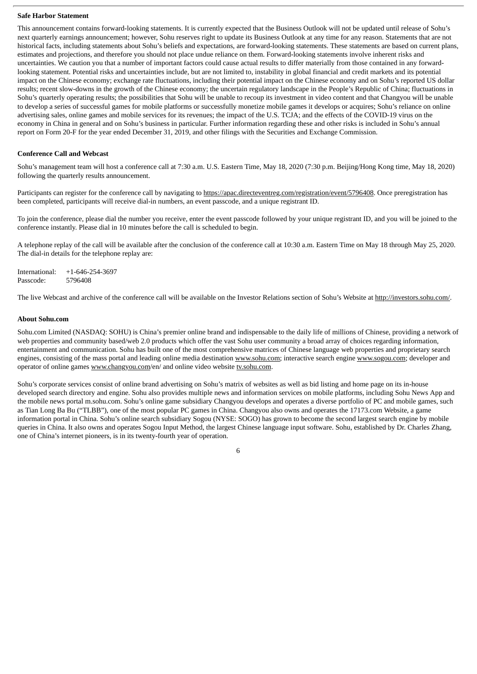#### **Safe Harbor Statement**

This announcement contains forward-looking statements. It is currently expected that the Business Outlook will not be updated until release of Sohu's next quarterly earnings announcement; however, Sohu reserves right to update its Business Outlook at any time for any reason. Statements that are not historical facts, including statements about Sohu's beliefs and expectations, are forward-looking statements. These statements are based on current plans, estimates and projections, and therefore you should not place undue reliance on them. Forward-looking statements involve inherent risks and uncertainties. We caution you that a number of important factors could cause actual results to differ materially from those contained in any forwardlooking statement. Potential risks and uncertainties include, but are not limited to, instability in global financial and credit markets and its potential impact on the Chinese economy; exchange rate fluctuations, including their potential impact on the Chinese economy and on Sohu's reported US dollar results; recent slow-downs in the growth of the Chinese economy; the uncertain regulatory landscape in the People's Republic of China; fluctuations in Sohu's quarterly operating results; the possibilities that Sohu will be unable to recoup its investment in video content and that Changyou will be unable to develop a series of successful games for mobile platforms or successfully monetize mobile games it develops or acquires; Sohu's reliance on online advertising sales, online games and mobile services for its revenues; the impact of the U.S. TCJA; and the effects of the COVID-19 virus on the economy in China in general and on Sohu's business in particular. Further information regarding these and other risks is included in Sohu's annual report on Form 20-F for the year ended December 31, 2019, and other filings with the Securities and Exchange Commission.

#### **Conference Call and Webcast**

Sohu's management team will host a conference call at 7:30 a.m. U.S. Eastern Time, May 18, 2020 (7:30 p.m. Beijing/Hong Kong time, May 18, 2020) following the quarterly results announcement.

Participants can register for the conference call by navigating to https://apac.directeventreg.com/registration/event/5796408. Once preregistration has been completed, participants will receive dial-in numbers, an event passcode, and a unique registrant ID.

To join the conference, please dial the number you receive, enter the event passcode followed by your unique registrant ID, and you will be joined to the conference instantly. Please dial in 10 minutes before the call is scheduled to begin.

A telephone replay of the call will be available after the conclusion of the conference call at 10:30 a.m. Eastern Time on May 18 through May 25, 2020. The dial-in details for the telephone replay are:

International: +1-646-254-3697 Passcode: 5796408

The live Webcast and archive of the conference call will be available on the Investor Relations section of Sohu's Website at http://investors.sohu.com/.

#### **About Sohu.com**

Sohu.com Limited (NASDAQ: SOHU) is China's premier online brand and indispensable to the daily life of millions of Chinese, providing a network of web properties and community based/web 2.0 products which offer the vast Sohu user community a broad array of choices regarding information, entertainment and communication. Sohu has built one of the most comprehensive matrices of Chinese language web properties and proprietary search engines, consisting of the mass portal and leading online media destination www.sohu.com; interactive search engine www.sogou.com; developer and operator of online games www.changyou.com/en/ and online video website tv.sohu.com.

Sohu's corporate services consist of online brand advertising on Sohu's matrix of websites as well as bid listing and home page on its in-house developed search directory and engine. Sohu also provides multiple news and information services on mobile platforms, including Sohu News App and the mobile news portal m.sohu.com. Sohu's online game subsidiary Changyou develops and operates a diverse portfolio of PC and mobile games, such as Tian Long Ba Bu ("TLBB"), one of the most popular PC games in China. Changyou also owns and operates the 17173.com Website, a game information portal in China. Sohu's online search subsidiary Sogou (NYSE: SOGO) has grown to become the second largest search engine by mobile queries in China. It also owns and operates Sogou Input Method, the largest Chinese language input software. Sohu, established by Dr. Charles Zhang, one of China's internet pioneers, is in its twenty-fourth year of operation.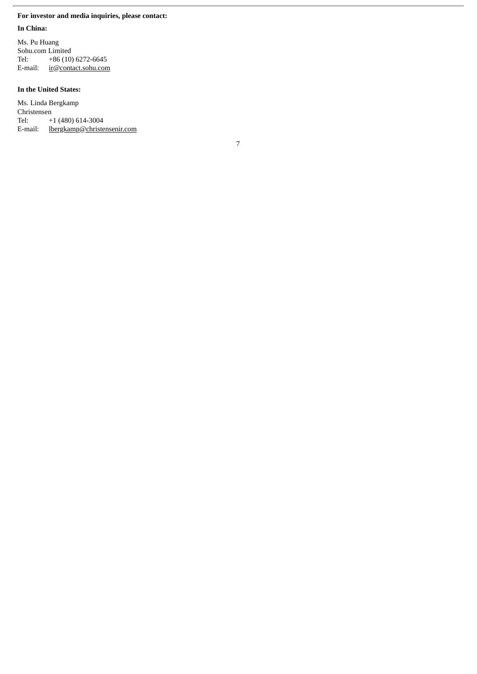# **For investor and media inquiries, please contact:**

# **In China:**

Ms. Pu Huang Sohu.com Limited<br>Tel:  $+86(10)$ +86 (10) 6272-6645 E-mail: ir@contact.sohu.com

# **In the United States:**

Ms. Linda Bergkamp Christensen<br>Tel: + Tel: +1 (480) 614-3004 E-mail: lbergkamp@christensenir.com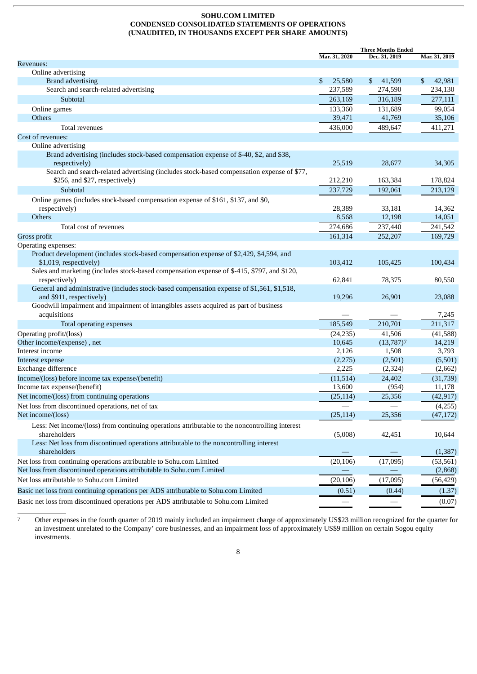# **SOHU.COM LIMITED CONDENSED CONSOLIDATED STATEMENTS OF OPERATIONS (UNAUDITED, IN THOUSANDS EXCEPT PER SHARE AMOUNTS)**

|                                                                                                                       |                     | <b>Three Months Ended</b> |                      |
|-----------------------------------------------------------------------------------------------------------------------|---------------------|---------------------------|----------------------|
|                                                                                                                       | Mar. 31, 2020       | Dec. 31, 2019             | Mar. 31, 2019        |
| Revenues:<br>Online advertising                                                                                       |                     |                           |                      |
| <b>Brand advertising</b>                                                                                              | \$<br>25,580        | $\mathbb{S}$<br>41,599    | \$<br>42,981         |
| Search and search-related advertising                                                                                 | 237,589             | 274,590                   | 234,130              |
| Subtotal                                                                                                              | 263,169             | 316,189                   | 277,111              |
|                                                                                                                       |                     |                           |                      |
| Online games<br><b>Others</b>                                                                                         | 133,360<br>39,471   | 131,689<br>41,769         | 99,054<br>35,106     |
|                                                                                                                       |                     |                           |                      |
| <b>Total revenues</b>                                                                                                 | 436,000             | 489,647                   | 411,271              |
| Cost of revenues:                                                                                                     |                     |                           |                      |
| Online advertising                                                                                                    |                     |                           |                      |
| Brand advertising (includes stock-based compensation expense of \$-40, \$2, and \$38,                                 |                     |                           |                      |
| respectively)<br>Search and search-related advertising (includes stock-based compensation expense of \$77,            | 25,519              | 28,677                    | 34,305               |
| \$256, and \$27, respectively)                                                                                        | 212,210             | 163,384                   | 178,824              |
|                                                                                                                       |                     |                           |                      |
| Subtotal                                                                                                              | 237,729             | 192,061                   | 213,129              |
| Online games (includes stock-based compensation expense of \$161, \$137, and \$0,                                     |                     |                           |                      |
| respectively)                                                                                                         | 28,389              | 33,181                    | 14,362               |
| Others                                                                                                                | 8,568               | 12,198                    | 14,051               |
| Total cost of revenues                                                                                                | 274,686             | 237,440                   | 241,542              |
| Gross profit                                                                                                          | 161,314             | 252,207                   | 169,729              |
| Operating expenses:                                                                                                   |                     |                           |                      |
| Product development (includes stock-based compensation expense of \$2,429, \$4,594, and                               |                     |                           |                      |
| \$1,019, respectively)<br>Sales and marketing (includes stock-based compensation expense of \$-415, \$797, and \$120, | 103,412             | 105,425                   | 100,434              |
| respectively)                                                                                                         | 62,841              | 78,375                    | 80,550               |
| General and administrative (includes stock-based compensation expense of \$1,561, \$1,518,                            |                     |                           |                      |
| and \$911, respectively)                                                                                              | 19,296              | 26,901                    | 23,088               |
| Goodwill impairment and impairment of intangibles assets acquired as part of business                                 |                     |                           |                      |
| acquisitions                                                                                                          |                     |                           | 7,245                |
| Total operating expenses                                                                                              | 185,549             | 210,701                   | 211,317              |
| Operating profit/(loss)                                                                                               |                     | 41,506                    |                      |
| Other income/(expense), net                                                                                           | (24, 235)<br>10,645 | $(13,787)$ <sup>7</sup>   | (41,588)<br>14,219   |
| Interest income                                                                                                       | 2,126               | 1,508                     | 3,793                |
| Interest expense                                                                                                      | (2,275)             | (2,501)                   | (5,501)              |
| Exchange difference                                                                                                   | 2,225               | (2,324)                   | (2,662)              |
| Income/(loss) before income tax expense/(benefit)                                                                     | (11, 514)           | 24,402                    | (31, 739)            |
| Income tax expense/(benefit)                                                                                          | 13,600              | (954)                     | 11,178               |
| Net income/(loss) from continuing operations                                                                          | (25, 114)           | 25,356                    | (42, 917)            |
|                                                                                                                       |                     |                           |                      |
| Net loss from discontinued operations, net of tax<br>Net income/(loss)                                                |                     | 25,356                    | (4,255)<br>(47, 172) |
|                                                                                                                       | (25, 114)           |                           |                      |
| Less: Net income/(loss) from continuing operations attributable to the noncontrolling interest                        |                     |                           |                      |
| shareholders                                                                                                          | (5,008)             | 42,451                    | 10,644               |
| Less: Net loss from discontinued operations attributable to the noncontrolling interest                               |                     |                           |                      |
| shareholders                                                                                                          |                     |                           | (1, 387)             |
| Net loss from continuing operations attributable to Sohu.com Limited                                                  | (20, 106)           | (17,095)                  | (53, 561)            |
| Net loss from discontinued operations attributable to Sohu.com Limited                                                |                     |                           | (2,868)              |
| Net loss attributable to Sohu.com Limited                                                                             | (20, 106)           | (17,095)                  | (56, 429)            |
| Basic net loss from continuing operations per ADS attributable to Sohu.com Limited                                    | (0.51)              | (0.44)                    | (1.37)               |
| Basic net loss from discontinued operations per ADS attributable to Sohu.com Limited                                  |                     |                           | (0.07)               |

7 Other expenses in the fourth quarter of 2019 mainly included an impairment charge of approximately US\$23 million recognized for the quarter for an investment unrelated to the Company' core businesses, and an impairment loss of approximately US\$9 million on certain Sogou equity investments.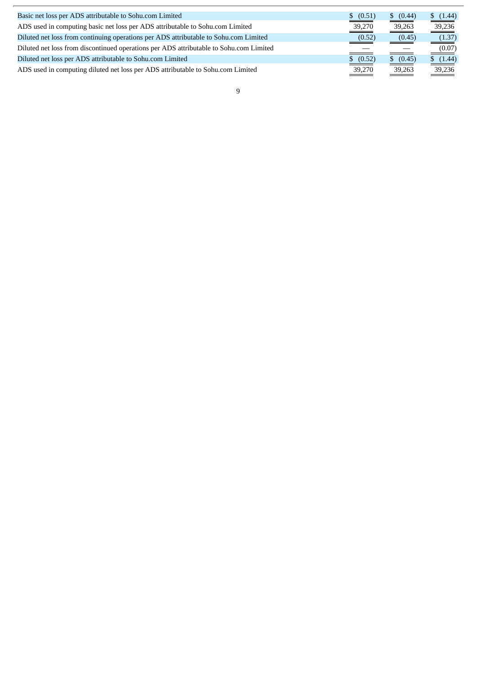| Basic net loss per ADS attributable to Sohu.com Limited                                | $\underline{\$}$ (0.51) | (0.44)<br>\$ | $\frac{\$ (1.44)}{}$ |
|----------------------------------------------------------------------------------------|-------------------------|--------------|----------------------|
| ADS used in computing basic net loss per ADS attributable to Sohu.com Limited          | 39,270                  | 39,263       | 39,236               |
| Diluted net loss from continuing operations per ADS attributable to Sohu.com Limited   | (0.52)                  | (0.45)       | (1.37)               |
| Diluted net loss from discontinued operations per ADS attributable to Sohu.com Limited | ______                  | _______      | (0.07)               |
| Diluted net loss per ADS attributable to Sohu.com Limited                              | \$ (0.52)               | \$ (0.45)    | $\frac{\$ (1.44)}{}$ |
| ADS used in computing diluted net loss per ADS attributable to Sohu.com Limited        | 39,270                  | 39,263       | 39,236               |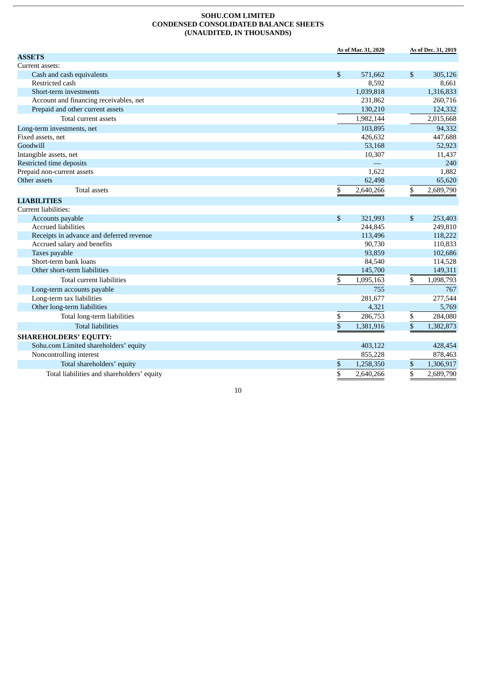# **SOHU.COM LIMITED CONDENSED CONSOLIDATED BALANCE SHEETS (UNAUDITED, IN THOUSANDS)**

|                                            |                         | As of Mar. 31, 2020 | As of Dec. 31, 2019 |           |  |  |
|--------------------------------------------|-------------------------|---------------------|---------------------|-----------|--|--|
| <b>ASSETS</b>                              |                         |                     |                     |           |  |  |
| Current assets:                            |                         |                     |                     |           |  |  |
| Cash and cash equivalents                  | \$                      | 571,662             | \$                  | 305,126   |  |  |
| Restricted cash                            |                         | 8,592               |                     | 8,661     |  |  |
| Short-term investments                     |                         | 1,039,818           |                     | 1,316,833 |  |  |
| Account and financing receivables, net     |                         | 231,862             |                     | 260,716   |  |  |
| Prepaid and other current assets           |                         | 130,210             |                     | 124,332   |  |  |
| Total current assets                       |                         | 1,982,144           |                     | 2,015,668 |  |  |
| Long-term investments, net                 |                         | 103,895             |                     | 94,332    |  |  |
| Fixed assets, net                          |                         | 426,632             |                     | 447,688   |  |  |
| Goodwill                                   |                         | 53,168              |                     | 52,923    |  |  |
| Intangible assets, net                     |                         | 10,307              |                     | 11,437    |  |  |
| Restricted time deposits                   |                         | $\equiv$            |                     | 240       |  |  |
| Prepaid non-current assets                 |                         | 1,622               |                     | 1,882     |  |  |
| Other assets                               |                         | 62,498              |                     | 65,620    |  |  |
| <b>Total assets</b>                        | \$                      | 2,640,266           | \$                  | 2,689,790 |  |  |
| <b>LIABILITIES</b>                         |                         |                     |                     |           |  |  |
| Current liabilities:                       |                         |                     |                     |           |  |  |
| Accounts payable                           | \$                      | 321,993             | \$                  | 253,403   |  |  |
| <b>Accrued liabilities</b>                 |                         | 244,845             |                     | 249,810   |  |  |
| Receipts in advance and deferred revenue   |                         | 113,496             |                     | 118,222   |  |  |
| Accrued salary and benefits                |                         | 90,730              |                     | 110,833   |  |  |
| Taxes payable                              |                         | 93,859              |                     | 102,686   |  |  |
| Short-term bank loans                      |                         | 84,540              |                     | 114,528   |  |  |
| Other short-term liabilities               |                         | 145,700             |                     | 149,311   |  |  |
| Total current liabilities                  | \$                      | 1,095,163           | \$                  | 1,098,793 |  |  |
| Long-term accounts payable                 |                         | 755                 |                     | 767       |  |  |
| Long-term tax liabilities                  |                         | 281,677             |                     | 277,544   |  |  |
| Other long-term liabilities                |                         | 4,321               |                     | 5,769     |  |  |
| Total long-term liabilities                | \$                      | 286,753             | \$                  | 284,080   |  |  |
| <b>Total liabilities</b>                   | $\overline{\mathbb{S}}$ | 1,381,916           | $\$$                | 1,382,873 |  |  |
| <b>SHAREHOLDERS' EQUITY:</b>               |                         |                     |                     |           |  |  |
| Sohu.com Limited shareholders' equity      |                         | 403,122             |                     | 428,454   |  |  |
| Noncontrolling interest                    |                         | 855,228             |                     | 878,463   |  |  |
| Total shareholders' equity                 | \$                      | 1,258,350           | \$                  | 1,306,917 |  |  |
| Total liabilities and shareholders' equity | \$                      | 2,640,266           | \$                  | 2,689,790 |  |  |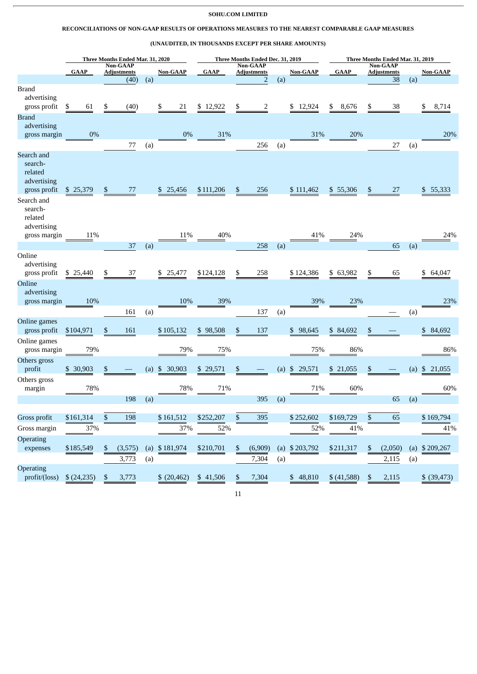# **SOHU.COM LIMITED**

# **RECONCILIATIONS OF NON-GAAP RESULTS OF OPERATIONS MEASURES TO THE NEAREST COMPARABLE GAAP MEASURES**

# **(UNAUDITED, IN THOUSANDS EXCEPT PER SHARE AMOUNTS)**

|                                                                 | Three Months Ended Mar. 31, 2020 |    |                                       |     |                 | Three Months Ended Dec. 31, 2019 |    |                                |     |                          | Three Months Ended Mar. 31, 2019       |      |                  |     |              |                 |
|-----------------------------------------------------------------|----------------------------------|----|---------------------------------------|-----|-----------------|----------------------------------|----|--------------------------------|-----|--------------------------|----------------------------------------|------|------------------|-----|--------------|-----------------|
|                                                                 | GAAP                             |    | <b>Non-GAAP</b><br><b>Adjustments</b> |     | <b>Non-GAAP</b> | GAAP                             |    | Non-GAAP<br><b>Adjustments</b> |     | <b>Non-GAAP</b>          | Non-GAAP<br>GAAP<br><b>Adjustments</b> |      |                  |     |              | <b>Non-GAAP</b> |
|                                                                 |                                  |    | (40)                                  | (a) |                 |                                  |    | $\overline{2}$                 | (a) |                          |                                        |      | 38               | (a) |              |                 |
| <b>Brand</b><br>advertising<br>gross profit                     | - \$<br>61                       | \$ | (40)                                  |     | \$<br>21        | \$12,922                         | \$ | 2                              |     | \$12,924                 | 8,676<br>\$                            | \$   | 38               |     | \$           | 8,714           |
| <b>Brand</b><br>advertising<br>gross margin                     | 0%                               |    |                                       |     | $0\%$           | 31%                              |    |                                |     | 31%                      | 20%                                    |      |                  |     |              | 20%             |
|                                                                 |                                  |    | 77                                    | (a) |                 |                                  |    | 256                            | (a) |                          |                                        |      | 27               | (a) |              |                 |
| Search and<br>search-<br>related<br>advertising<br>gross profit | \$ 25,379                        | \$ | 77                                    |     | \$25,456        | \$111,206                        | \$ | 256                            |     | \$111,462                | \$55,306                               | \$   | 27               |     |              | \$ 55,333       |
| Search and<br>search-<br>related<br>advertising<br>gross margin | 11%                              |    |                                       |     | 11%             | 40%                              |    |                                |     | 41%                      | 24%                                    |      |                  |     |              | 24%             |
|                                                                 |                                  |    | 37                                    | (a) |                 |                                  |    | 258                            | (a) |                          |                                        |      | 65               | (a) |              |                 |
| Online<br>advertising<br>gross profit                           | \$25,440                         | \$ | 37                                    |     | 25,477<br>S     | \$124,128                        | \$ | 258                            |     | \$124,386                | \$63,982                               | \$   | 65               |     | \$           | 64,047          |
| Online<br>advertising<br>gross margin                           | 10%                              |    |                                       |     | 10%             | 39%                              |    |                                |     | 39%                      | 23%                                    |      |                  |     |              | 23%             |
|                                                                 |                                  |    | 161                                   | (a) |                 |                                  |    | 137                            | (a) |                          |                                        |      |                  | (a) |              |                 |
| <b>Online</b> games<br>gross profit                             | \$104,971                        | \$ | 161                                   |     | \$105,132       | \$98,508                         | \$ | 137                            |     | 98,645<br>\$             | \$84,692                               | \$   |                  |     | \$           | 84,692          |
| Online games<br>gross margin                                    | 79%                              |    |                                       |     | 79%             | 75%                              |    |                                |     | 75%                      | 86%                                    |      |                  |     |              | 86%             |
| Others gross<br>profit                                          | \$ 30,903                        | \$ |                                       | (a) | 30,903<br>\$    | \$ 29,571                        | \$ |                                | (a) | $\mathfrak{S}$<br>29,571 | \$21,055                               | \$   |                  | (a) | $\mathbb{S}$ | 21,055          |
| Others gross<br>margin                                          | 78%                              |    |                                       |     | 78%             | 71%                              |    |                                |     | 71%                      | 60%                                    |      |                  |     |              | 60%             |
|                                                                 |                                  |    | 198                                   | (a) |                 |                                  |    | 395                            | (a) |                          |                                        |      | 65               | (a) |              |                 |
| Gross profit                                                    | \$161,314                        | \$ | 198                                   |     | \$161,512       | \$252,207                        | \$ | 395                            |     | \$252,602                | \$169,729                              | $\$$ | 65               |     |              | \$169,794       |
| Gross margin                                                    | 37%                              |    |                                       |     | 37%             | $\frac{52\%}{4}$                 |    |                                |     | 52%                      | 41%                                    |      |                  |     |              | 41%             |
| Operating<br>expenses                                           | \$185,549                        | \$ | (3,575)<br>3,773                      | (a) | (a) $$181,974$  | \$210,701                        | \$ | (6,909)<br>7,304               | (a) | (a) $$203,792$           | \$211,317                              | \$   | (2,050)<br>2,115 | (a) |              | (a) $$209,267$  |
| Operating<br>profit/(loss)                                      | \$(24,235)                       | \$ | 3,773                                 |     | \$(20, 462)     | \$ 41,506                        | \$ | 7,304                          |     | \$ 48,810                | \$ (41,588)                            | \$   | 2,115            |     |              | \$ (39, 473)    |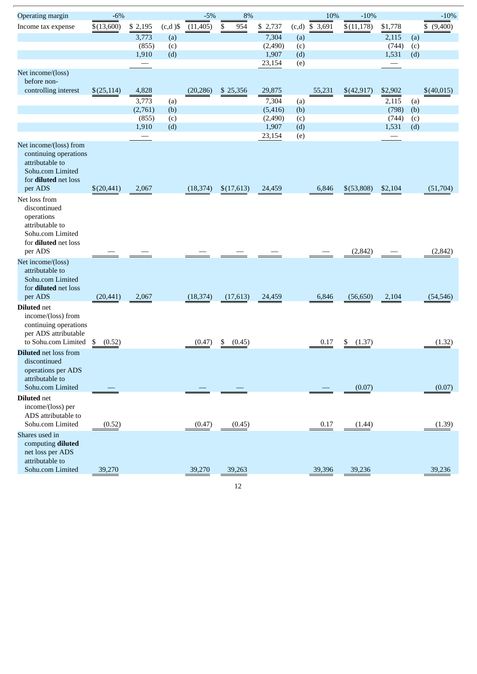| Operating margin                                                                                                                 | $-6%$        |                          |            | $-5%$     | $8\%$        |                   |            | 10%      | $-10%$       |                          |            | $-10%$        |
|----------------------------------------------------------------------------------------------------------------------------------|--------------|--------------------------|------------|-----------|--------------|-------------------|------------|----------|--------------|--------------------------|------------|---------------|
| Income tax expense                                                                                                               | \$(13,600)   | \$2,195                  | $(c,d)$ \$ | (11, 405) | \$<br>954    | \$2,737           | (c,d)      | \$ 3,691 | \$(11, 178)  | \$1,778                  |            | \$<br>(9,400) |
|                                                                                                                                  |              | 3,773                    | (a)        |           |              | 7,304             | (a)        |          |              | 2,115                    | (a)        |               |
|                                                                                                                                  |              | (855)                    | (c)        |           |              | (2, 490)          | (c)        |          |              | (744)                    | (c)        |               |
|                                                                                                                                  |              | 1,910                    | (d)        |           |              | 1,907             | (d)        |          |              | 1,531                    | (d)        |               |
|                                                                                                                                  |              | $\overline{\phantom{0}}$ |            |           |              | 23,154            | (e)        |          |              | $\overline{\phantom{0}}$ |            |               |
| Net income/(loss)<br>before non-                                                                                                 |              |                          |            |           |              |                   |            |          |              |                          |            |               |
| controlling interest                                                                                                             | \$(25,114)   | 4,828                    |            | (20, 286) | \$ 25,356    | 29,875            |            | 55,231   | \$(42,917)   | \$2,902                  |            | \$(40,015)    |
|                                                                                                                                  |              | 3,773<br>(2,761)         | (a)<br>(b) |           |              | 7,304<br>(5, 416) | (a)<br>(b) |          |              | 2,115<br>(798)           | (a)<br>(b) |               |
|                                                                                                                                  |              | (855)                    | (c)        |           |              | (2,490)           | (c)        |          |              | (744)                    | (c)        |               |
|                                                                                                                                  |              | 1,910                    | (d)        |           |              | 1,907             | (d)        |          |              | 1,531                    | (d)        |               |
|                                                                                                                                  |              |                          |            |           |              | 23,154            | (e)        |          |              |                          |            |               |
| Net income/(loss) from<br>continuing operations<br>attributable to<br>Sohu.com Limited<br>for <b>diluted</b> net loss<br>per ADS | \$(20, 441)  | 2,067                    |            | (18, 374) | \$(17,613)   | 24,459            |            | 6,846    | $$$ (53,808) | \$2,104                  |            | (51, 704)     |
| Net loss from<br>discontinued<br>operations<br>attributable to<br>Sohu.com Limited<br>for diluted net loss<br>per ADS            |              |                          |            |           |              |                   |            |          | (2, 842)     |                          |            | (2, 842)      |
| Net income/(loss)<br>attributable to<br>Sohu.com Limited<br>for diluted net loss<br>per ADS                                      | (20, 441)    | 2,067                    |            | (18, 374) | (17, 613)    | 24,459            |            | 6,846    | (56, 650)    | 2,104                    |            | (54, 546)     |
| <b>Diluted</b> net                                                                                                               |              |                          |            |           |              |                   |            |          |              |                          |            |               |
| income/(loss) from<br>continuing operations<br>per ADS attributable<br>to Sohu.com Limited                                       | (0.52)<br>\$ |                          |            | (0.47)    | \$<br>(0.45) |                   |            | 0.17     | \$<br>(1.37) |                          |            | (1.32)        |
| <b>Diluted</b> net loss from<br>discontinued<br>operations per ADS<br>attributable to<br>Sohu.com Limited                        |              |                          |            |           |              |                   |            |          | (0.07)       |                          |            | (0.07)        |
| <b>Diluted</b> net                                                                                                               |              |                          |            |           |              |                   |            |          |              |                          |            |               |
| income/(loss) per<br>ADS attributable to<br>Sohu.com Limited                                                                     | (0.52)       |                          |            | (0.47)    | (0.45)       |                   |            | 0.17     | (1.44)       |                          |            | (1.39)        |
| Shares used in<br>computing diluted<br>net loss per ADS<br>attributable to                                                       |              |                          |            |           |              |                   |            |          |              |                          |            |               |
| Sohu.com Limited                                                                                                                 | 39,270       |                          |            | 39,270    | 39,263       |                   |            | 39,396   | 39,236       |                          |            | 39,236        |
|                                                                                                                                  |              |                          |            |           | 12           |                   |            |          |              |                          |            |               |